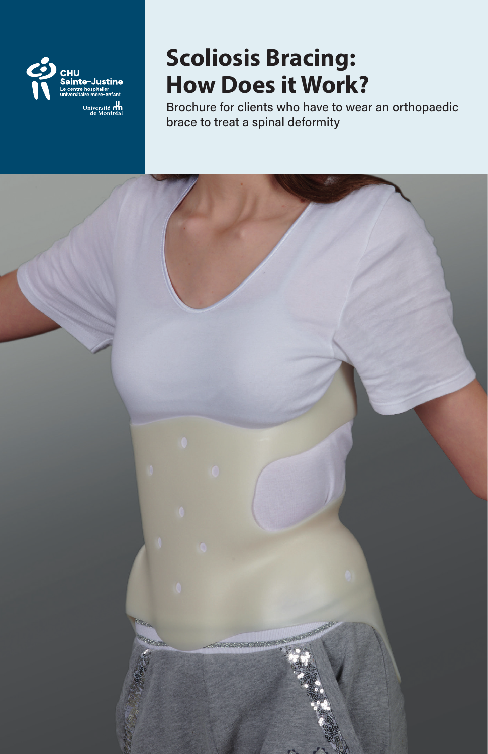

# **Scoliosis Bracing: How Does it Work?**

Brochure for clients who have to wear an orthopaedic brace to treat a spinal deformity

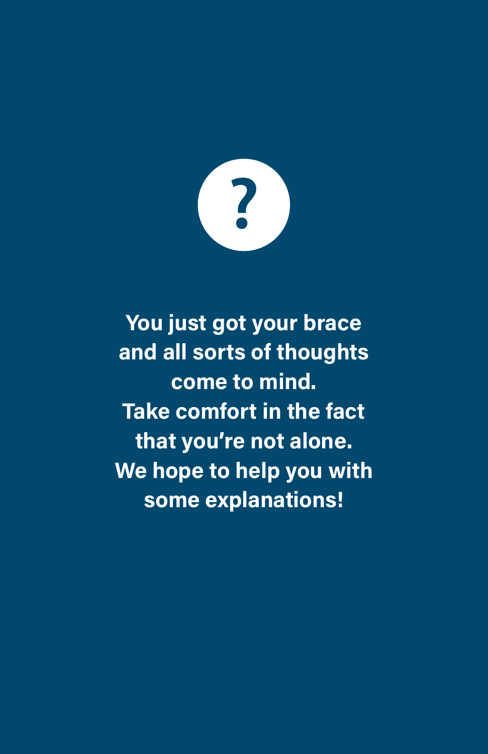**?**

**You just got your brace and all sorts of thoughts come to mind. Take comfort in the fact that you're not alone. We hope to help you with some explanations!**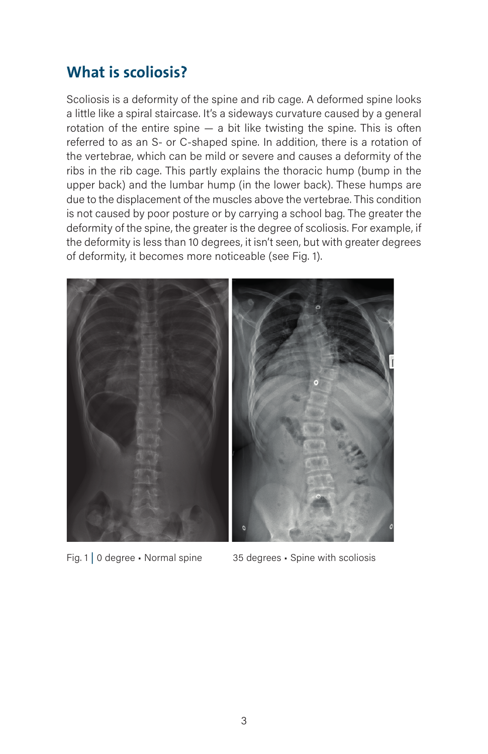### **What is scoliosis?**

Scoliosis is a deformity of the spine and rib cage. A deformed spine looks a little like a spiral staircase. It's a sideways curvature caused by a general rotation of the entire spine — a bit like twisting the spine. This is often referred to as an S- or C-shaped spine. In addition, there is a rotation of the vertebrae, which can be mild or severe and causes a deformity of the ribs in the rib cage. This partly explains the thoracic hump (bump in the upper back) and the lumbar hump (in the lower back). These humps are due to the displacement of the muscles above the vertebrae. This condition is not caused by poor posture or by carrying a school bag. The greater the deformity of the spine, the greater is the degree of scoliosis. For example, if the deformity is less than 10 degrees, it isn't seen, but with greater degrees of deformity, it becomes more noticeable (see Fig. 1).



Fig. 1 | 0 degree • Normal spine 35 degrees • Spine with scoliosis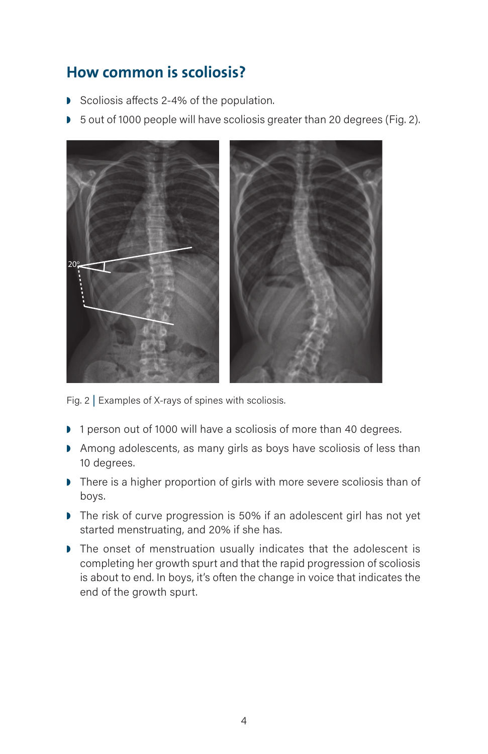### **How common is scoliosis?**

- ◗ Scoliosis affects 2-4% of the population.
- 5 out of 1000 people will have scoliosis greater than 20 degrees (Fig. 2).



Fig. 2 | Examples of X-rays of spines with scoliosis.

- ◗ 1 person out of 1000 will have a scoliosis of more than 40 degrees.
- ◗ Among adolescents, as many girls as boys have scoliosis of less than 10 degrees.
- ◗ There is a higher proportion of girls with more severe scoliosis than of boys.
- The risk of curve progression is 50% if an adolescent girl has not yet started menstruating, and 20% if she has.
- ◗ The onset of menstruation usually indicates that the adolescent is completing her growth spurt and that the rapid progression of scoliosis is about to end. In boys, it's often the change in voice that indicates the end of the growth spurt.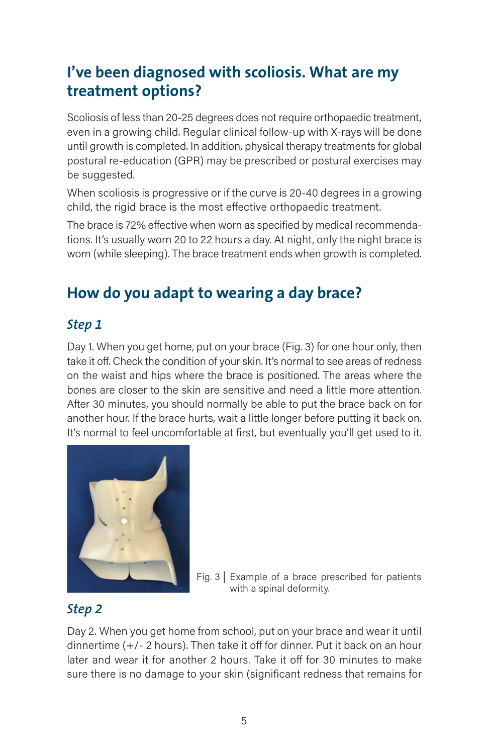# **I've been diagnosed with scoliosis. What are my treatment options?**

Scoliosis of less than 20-25 degrees does not require orthopaedic treatment, even in a growing child. Regular clinical follow-up with X-rays will be done until growth is completed. In addition, physical therapy treatments for global postural re-education (GPR) may be prescribed or postural exercises may be suggested.

When scoliosis is progressive or if the curve is 20-40 degrees in a growing child, the rigid brace is the most effective orthopaedic treatment.

The brace is 72% effective when worn as specified by medical recommendations. It's usually worn 20 to 22 hours a day. At night, only the night brace is worn (while sleeping). The brace treatment ends when growth is completed.

# **How do you adapt to wearing a day brace?**

#### *Step 1*

Day 1. When you get home, put on your brace (Fig. 3) for one hour only, then take it off. Check the condition of your skin. It's normal to see areas of redness on the waist and hips where the brace is positioned. The areas where the bones are closer to the skin are sensitive and need a little more attention. After 30 minutes, you should normally be able to put the brace back on for another hour. If the brace hurts, wait a little longer before putting it back on. It's normal to feel uncomfortable at first, but eventually you'll get used to it.



Fig. 3 | Example of a brace prescribed for patients with a spinal deformity.

#### *Step 2*

Day 2. When you get home from school, put on your brace and wear it until dinnertime (+/- 2 hours). Then take it off for dinner. Put it back on an hour later and wear it for another 2 hours. Take it off for 30 minutes to make sure there is no damage to your skin (significant redness that remains for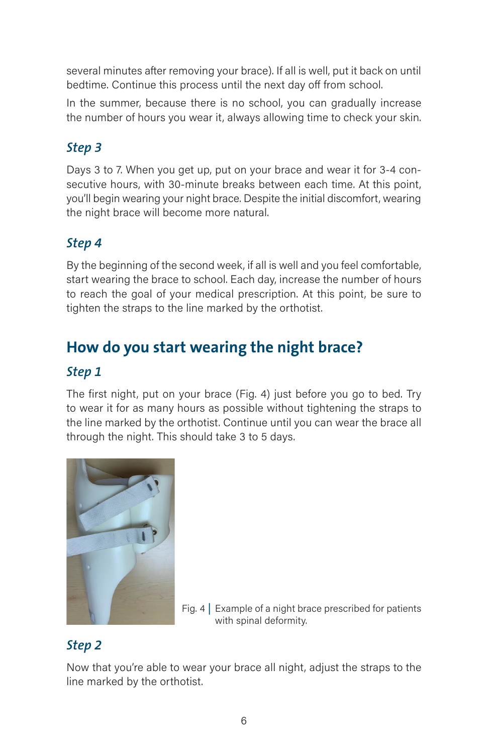several minutes after removing your brace). If all is well, put it back on until bedtime. Continue this process until the next day off from school.

In the summer, because there is no school, you can gradually increase the number of hours you wear it, always allowing time to check your skin.

### *Step 3*

Days 3 to 7. When you get up, put on your brace and wear it for 3-4 consecutive hours, with 30-minute breaks between each time. At this point, you'll begin wearing your night brace. Despite the initial discomfort, wearing the night brace will become more natural.

### *Step 4*

By the beginning of the second week, if all is well and you feel comfortable, start wearing the brace to school. Each day, increase the number of hours to reach the goal of your medical prescription. At this point, be sure to tighten the straps to the line marked by the orthotist.

# **How do you start wearing the night brace?**

#### *Step 1*

The first night, put on your brace (Fig. 4) just before you go to bed. Try to wear it for as many hours as possible without tightening the straps to the line marked by the orthotist. Continue until you can wear the brace all through the night. This should take 3 to 5 days.



Fig. 4 | Example of a night brace prescribed for patients with spinal deformity.

### *Step 2*

Now that you're able to wear your brace all night, adjust the straps to the line marked by the orthotist.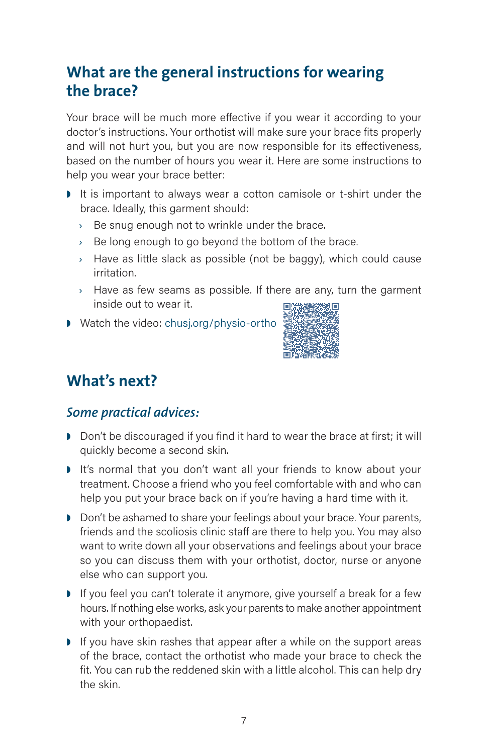## **What are the general instructions for wearing the brace?**

Your brace will be much more effective if you wear it according to your doctor's instructions. Your orthotist will make sure your brace fits properly and will not hurt you, but you are now responsible for its effectiveness, based on the number of hours you wear it. Here are some instructions to help you wear your brace better:

- It is important to always wear a cotton camisole or t-shirt under the brace. Ideally, this garment should:
	- › Be snug enough not to wrinkle under the brace.
	- $\rightarrow$  Be long enough to go beyond the bottom of the brace.
	- $\rightarrow$  Have as little slack as possible (not be baggy), which could cause irritation.
	- $\rightarrow$  Have as few seams as possible. If there are any, turn the garment inside out to wear it.
- ◗ Watch the video: chusj.org/physio-ortho



# **What's next?**

#### *Some practical advices:*

- ◗ Don't be discouraged if you find it hard to wear the brace at first; it will quickly become a second skin.
- It's normal that you don't want all your friends to know about your treatment. Choose a friend who you feel comfortable with and who can help you put your brace back on if you're having a hard time with it.
- ◗ Don't be ashamed to share your feelings about your brace. Your parents, friends and the scoliosis clinic staff are there to help you. You may also want to write down all your observations and feelings about your brace so you can discuss them with your orthotist, doctor, nurse or anyone else who can support you.
- If you feel you can't tolerate it anymore, give yourself a break for a few hours. If nothing else works, ask your parents to make another appointment with your orthopaedist.
- ◗ If you have skin rashes that appear after a while on the support areas of the brace, contact the orthotist who made your brace to check the fit. You can rub the reddened skin with a little alcohol. This can help dry the skin.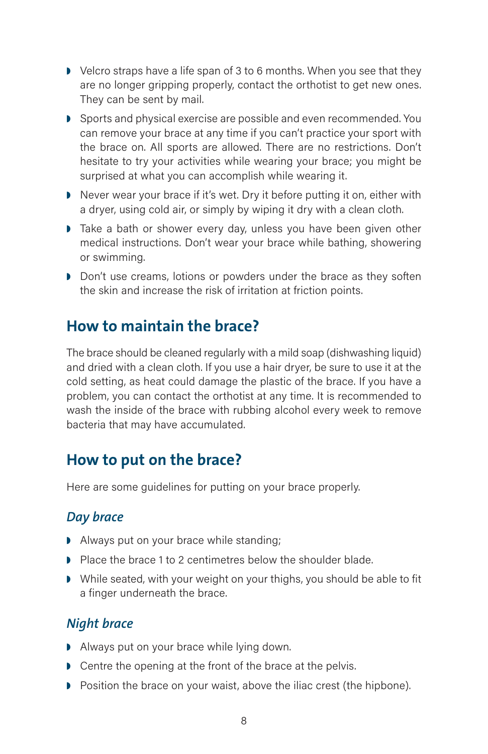- ◗ Velcro straps have a life span of 3 to 6 months. When you see that they are no longer gripping properly, contact the orthotist to get new ones. They can be sent by mail.
- ◗ Sports and physical exercise are possible and even recommended. You can remove your brace at any time if you can't practice your sport with the brace on. All sports are allowed. There are no restrictions. Don't hesitate to try your activities while wearing your brace; you might be surprised at what you can accomplish while wearing it.
- ◗ Never wear your brace if it's wet. Dry it before putting it on, either with a dryer, using cold air, or simply by wiping it dry with a clean cloth.
- ◗ Take a bath or shower every day, unless you have been given other medical instructions. Don't wear your brace while bathing, showering or swimming.
- ◗ Don't use creams, lotions or powders under the brace as they soften the skin and increase the risk of irritation at friction points.

### **How to maintain the brace?**

The brace should be cleaned regularly with a mild soap (dishwashing liquid) and dried with a clean cloth. If you use a hair dryer, be sure to use it at the cold setting, as heat could damage the plastic of the brace. If you have a problem, you can contact the orthotist at any time. It is recommended to wash the inside of the brace with rubbing alcohol every week to remove bacteria that may have accumulated.

# **How to put on the brace?**

Here are some guidelines for putting on your brace properly.

#### *Day brace*

- ◗ Always put on your brace while standing;
- ◗ Place the brace 1 to 2 centimetres below the shoulder blade.
- ◗ While seated, with your weight on your thighs, you should be able to fit a finger underneath the brace.

#### *Night brace*

- ◗ Always put on your brace while lying down.
- Centre the opening at the front of the brace at the pelvis.
- ◗ Position the brace on your waist, above the iliac crest (the hipbone).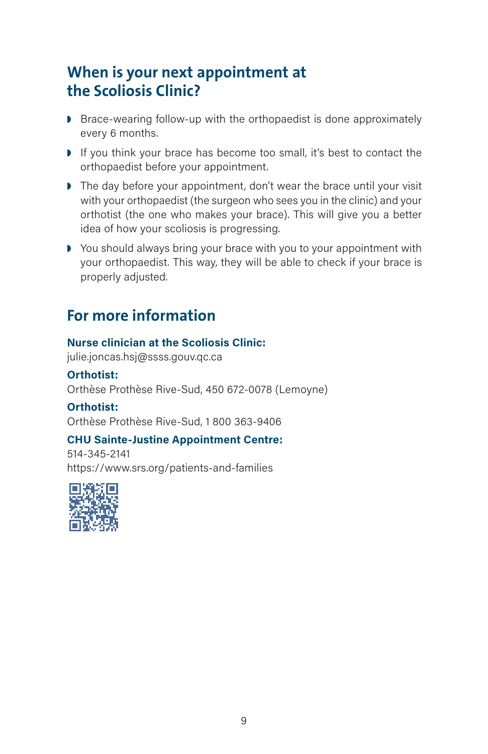### **When is your next appointment at the Scoliosis Clinic?**

- Brace-wearing follow-up with the orthopaedist is done approximately every 6 months.
- If you think your brace has become too small, it's best to contact the orthopaedist before your appointment.
- The day before your appointment, don't wear the brace until your visit with your orthopaedist (the surgeon who sees you in the clinic) and your orthotist (the one who makes your brace). This will give you a better idea of how your scoliosis is progressing.
- ◗ You should always bring your brace with you to your appointment with your orthopaedist. This way, they will be able to check if your brace is properly adjusted.

### **For more information**

#### **Nurse clinician at the Scoliosis Clinic:**

julie.joncas.hsj@ssss.gouv.qc.ca

**Orthotist:**  Orthèse Prothèse Rive-Sud, 450 672-0078 (Lemoyne)

#### **Orthotist:**

Orthèse Prothèse Rive-Sud, 1 800 363-9406

#### **CHU Sainte-Justine Appointment Centre:**

514-345-2141 https://www.srs.org/patients-and-families

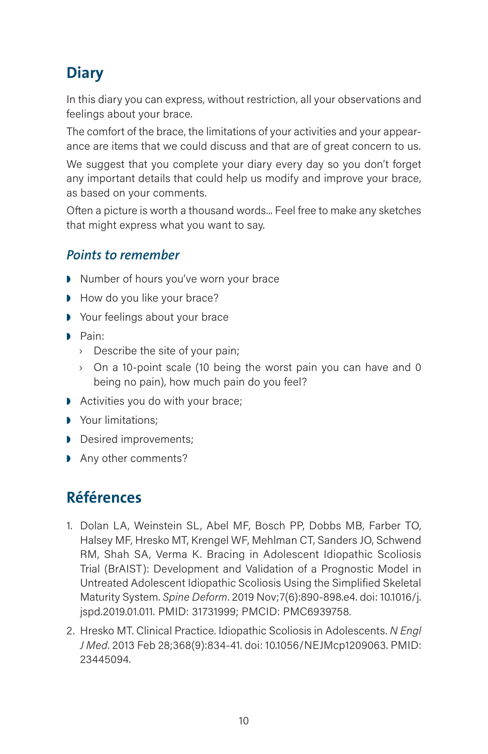# **Diary**

In this diary you can express, without restriction, all your observations and feelings about your brace.

The comfort of the brace, the limitations of your activities and your appearance are items that we could discuss and that are of great concern to us.

We suggest that you complete your diary every day so you don't forget any important details that could help us modify and improve your brace, as based on your comments.

Often a picture is worth a thousand words... Feel free to make any sketches that might express what you want to say.

#### *Points to remember*

- ◗ Number of hours you've worn your brace
- ◗ How do you like your brace?
- ◗ Your feelings about your brace
- ◗ Pain:
	- › Describe the site of your pain;
	- › On a 10-point scale (10 being the worst pain you can have and 0 being no pain), how much pain do you feel?
- ◗ Activities you do with your brace;
- Your limitations:
- ◗ Desired improvements;
- ◗ Any other comments?

### **Références**

- 1. Dolan LA, Weinstein SL, Abel MF, Bosch PP, Dobbs MB, Farber TO, Halsey MF, Hresko MT, Krengel WF, Mehlman CT, Sanders JO, Schwend RM, Shah SA, Verma K. Bracing in Adolescent Idiopathic Scoliosis Trial (BrAIST): Development and Validation of a Prognostic Model in Untreated Adolescent Idiopathic Scoliosis Using the Simplified Skeletal Maturity System. *Spine Deform*. 2019 Nov;7(6):890-898.e4. doi: 10.1016/j. jspd.2019.01.011. PMID: 31731999; PMCID: PMC6939758.
- 2. Hresko MT. Clinical Practice. Idiopathic Scoliosis in Adolescents. *N Engl J Med*. 2013 Feb 28;368(9):834-41. doi: 10.1056/NEJMcp1209063. PMID: 23445094.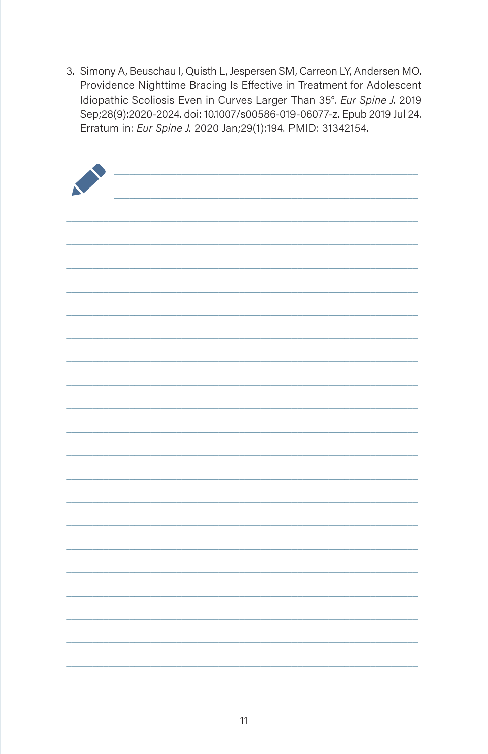3. Simony A, Beuschau I, Quisth L, Jespersen SM, Carreon LY, Andersen MO. Providence Nighttime Bracing Is Effective in Treatment for Adolescent Idiopathic Scoliosis Even in Curves Larger Than 35°. Eur Spine J. 2019 Sep;28(9):2020-2024. doi: 10.1007/s00586-019-06077-z. Epub 2019 Jul 24. Erratum in: Eur Spine J. 2020 Jan;29(1):194. PMID: 31342154.

| X |  |
|---|--|
|   |  |
|   |  |
|   |  |
|   |  |
|   |  |
|   |  |
|   |  |
|   |  |
|   |  |
|   |  |
|   |  |
|   |  |
|   |  |
|   |  |
|   |  |
|   |  |
|   |  |
|   |  |
|   |  |
|   |  |
|   |  |
|   |  |
|   |  |
|   |  |
|   |  |
|   |  |
|   |  |
|   |  |
|   |  |
|   |  |
|   |  |
|   |  |
|   |  |
|   |  |
|   |  |
|   |  |
|   |  |
|   |  |
|   |  |
|   |  |
|   |  |
|   |  |
|   |  |
|   |  |